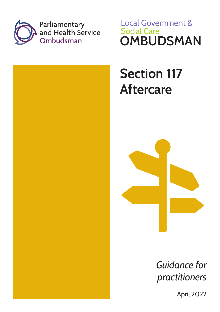

**Local Government & Social Care OMBUDSMAN** 

# **Section 117 Aftercare**



*Guidance for practitioners*

April 2022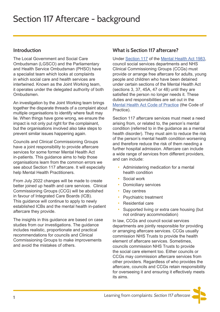#### **Introduction**

The Local Government and Social Care Ombudsman (LGSCO) and the Parliamentary and Health Service Ombudsman (PHSO) have a specialist team which looks at complaints in which social care and health services are intertwined. Known as the Joint Working team, it operates under the delegated authority of both Ombudsmen.

An investigation by the Joint Working team brings together the disparate threads of a complaint about multiple organisations to identify where fault may lie. When things have gone wrong, we ensure the impact is not only put right for the complainant, but the organisations involved also take steps to prevent similar issues happening again.

Councils and Clinical Commissioning Groups have a joint responsibility to provide aftercare services for some former Mental Health Act in-patients. This guidance aims to help those organisations learn from the common errors we see about Section 117 aftercare. It will especially help Mental Health Practitioners.

From July 2022 changes will be made to create better joined up health and care services. Clinical Commissioning Groups (CCG) will be abolished in favour of Integrated Care Boards (ICB). This guidance will continue to apply to newly established ICBs and the mental health in-patient aftercare they provide.

The insights in this guidance are based on case studies from our investigations. The guidance includes realistic, proportionate and practical recommendations for councils and Clinical Commissioning Groups to make improvements and avoid the mistakes of others.

#### **What is Section 117 aftercare?**

Under [Section 117](https://www.legislation.gov.uk/ukpga/1983/20/part/VIII/crossheading/aftercare) of the [Mental Health Act 1983,](https://www.legislation.gov.uk/ukpga/1983/20/contents) council social services departments and NHS Clinical Commissioning Groups (CCGs) must provide or arrange free aftercare for adults, young people and children who have been detained under certain sections of the Mental Health Act (sections 3, 37, 45A, 47 or 48) until they are satisfied the person no longer needs it. These duties and responsibilities are set out in the [Mental Health Act Code of Practice](https://www.gov.uk/government/publications/code-of-practice-mental-health-act-1983) (the Code of Practice).

Section 117 aftercare services must meet a need arising from, or related to, the person's mental condition (referred to in the guidance as a mental health disorder). They must aim to reduce the risk of the person's mental health condition worsening and therefore reduce the risk of them needing a further hospital admission. Aftercare can include a wide range of services from different providers, and can include:

- Administering medication for a mental health condition
- Social work
- Domiciliary services
- Day centres
- Psychiatric treatment
- Residential care
- Supported living or extra care housing (but not ordinary accommodation)

In law, CCGs and council social services departments are jointly responsible for providing or arranging aftercare services. CCGs usually commission NHS Trusts to provide the health element of aftercare services. Sometimes, councils commission NHS Trusts to provide the social care element too. Either councils or CCGs may commission aftercare services from other providers. Regardless of who provides the aftercare, councils and CCGs retain responsibility for overseeing it and ensuring it effectively meets its aims.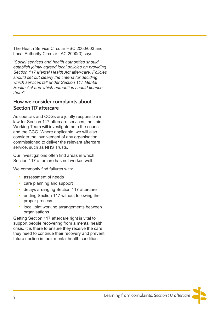The Health Service Circular HSC 2000/003 and Local Authority Circular LAC 2000(3) says:

*"Social services and health authorities should establish jointly agreed local policies on providing Section 117 Mental Health Act after-care. Policies should set out clearly the criteria for deciding which services fall under Section 117 Mental Health Act and which authorities should finance them".* 

#### **How we consider complaints about Section 117 aftercare**

As councils and CCGs are jointly responsible in law for Section 117 aftercare services, the Joint Working Team will investigate both the council and the CCG. Where applicable, we will also consider the involvement of any organisation commissioned to deliver the relevant aftercare service, such as NHS Trusts.

Our investigations often find areas in which Section 117 aftercare has not worked well.

We commonly find failures with:

- assessment of needs
- care planning and support
- delays arranging Section 117 aftercare
- ending Section 117 without following the proper process
- local joint working arrangements between organisations

Getting Section 117 aftercare right is vital to support people recovering from a mental health crisis. It is there to ensure they receive the care they need to continue their recovery and prevent future decline in their mental health condition.

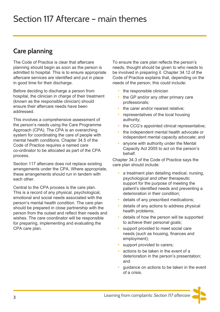## **Care planning**

The Code of Practice is clear that aftercare planning should begin as soon as the person is admitted to hospital. This is to ensure appropriate aftercare services are identified and put in place in good time for their discharge.

Before deciding to discharge a person from hospital, the clinician in charge of their treatment (known as the responsible clinician) should ensure their aftercare needs have been addressed.

This involves a comprehensive assessment of the person's needs using the Care Programme Approach (CPA). The CPA is an overarching system for coordinating the care of people with mental health conditions. Chapter 34.5 of the Code of Practice requires a named care co-ordinator to be allocated as part of the CPA process.

Section 117 aftercare does not replace existing arrangements under the CPA. Where appropriate, these arrangements should run in tandem with each other.

Central to the CPA process is the care plan. This is a record of any physical, psychological, emotional and social needs associated with the person's mental health condition. The care plan should be prepared in close partnership with the person from the outset and reflect their needs and wishes. The care coordinator will be responsible for preparing, implementing and evaluating the CPA care plan.

To ensure the care plan reflects the person's needs, thought should be given to who needs to be involved in preparing it. Chapter 34.12 of the Code of Practice explains that, depending on the needs of the person, this could include:

- the responsible clinician
- the GP and/or any other primary care professionals;
- the carer and/or nearest relative:
- representatives of the local housing authority;
- the CCG's appointed clinical representative;
- the independent mental health advocate or independent mental capacity advocate; and
- anyone with authority under the Mental Capacity Act 2005 to act on the person's behalf.

Chapter 34.3 of the Code of Practice says the care plan should include:

- a treatment plan detailing medical, nursing, psychological and other therapeutic support for the purpose of meeting the patient's identified needs and preventing a deterioration in their condition;
- details of any prescribed medications;
- details of any actions to address physical health problems;
- details of how the person will be supported to achieve their personal goals;
- support provided to meet social care needs (such as housing, finances and employment);
- support provided to carers;
- actions to be taken in the event of a deterioration in the person's presentation; and
- guidance on actions to be taken in the event of a crisis.

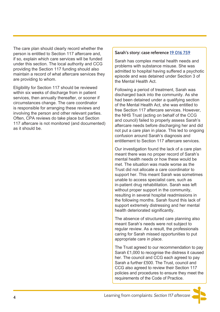The care plan should clearly record whether the person is entitled to Section 117 aftercare and, if so, explain which care services will be funded under this section. The local authority and CCG providing the Section 117 funding should also maintain a record of what aftercare services they are providing to whom.

Eligibility for Section 117 should be reviewed within six weeks of discharge from in patient services, then annually thereafter, or sooner if circumstances change. The care coordinator is responsible for arranging these reviews and involving the person and other relevant parties. Often, CPA reviews do take place but Section 117 aftercare is not monitored (and documented) as it should be.

#### **Sarah's story: case reference [19 016 759](https://www.lgo.org.uk/decisions/adult-care-services/other/19-016-759)**

Sarah has complex mental health needs and problems with substance misuse. She was admitted to hospital having suffered a psychotic episode and was detained under Section 3 of the Mental Health Act.

Following a period of treatment, Sarah was discharged back into the community. As she had been detained under a qualifying section of the Mental Health Act, she was entitled to free Section 117 aftercare services. However, the NHS Trust (acting on behalf of the CCG and council) failed to properly assess Sarah's aftercare needs before discharging her and did not put a care plan in place. This led to ongoing confusion around Sarah's diagnosis and entitlement to Section 117 aftercare services.

Our investigation found the lack of a care plan meant there was no proper record of Sarah's mental health needs or how these would be met. The situation was made worse as the Trust did not allocate a care coordinator to support her. This meant Sarah was sometimes unable to access specialist care, such as in-patient drug rehabilitation. Sarah was left without proper support in the community, resulting in several hospital readmissions in the following months. Sarah found this lack of support extremely distressing and her mental health deteriorated significantly.

The absence of structured care planning also meant Sarah's needs were not subject to regular review. As a result, the professionals caring for Sarah missed opportunities to put appropriate care in place.

The Trust agreed to our recommendation to pay Sarah £1,000 to recognise the distress it caused her. The council and CCG each agreed to pay Sarah a further £500. The Trust, council and CCG also agreed to review their Section 117 policies and procedures to ensure they meet the requirements of the Code of Practice.

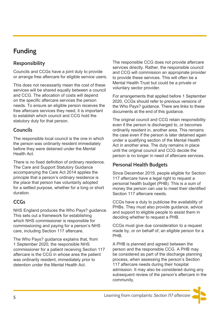## **Funding**

### **Responsibility**

Councils and CCGs have a joint duty to provide or arrange free aftercare for eligible service users.

This does not necessarily mean the cost of these services will be shared equally between a council and CCG. The allocation of costs will depend on the specific aftercare services the person needs. To ensure an eligible person receives the free aftercare services they need, it is important to establish which council and CCG hold the statutory duty for that person.

#### **Councils**

The responsible local council is the one in which the person was ordinarily resident immediately before they were detained under the Mental Health Act.

There is no fixed definition of ordinary residence. The Care and Support Statutory Guidance accompanying the Care Act 2014 applies the principle that a person's ordinary residence is the place that person has voluntarily adopted for a settled purpose, whether for a long or short duration.

## **CCGs**

NHS England produces the Who Pays? guidance. This sets out a framework for establishing which NHS commissioner is responsible for commissioning and paying for a person's NHS care, including Section 117 aftercare.

The Who Pays? guidance explains that, from 1 September 2020, the responsible NHS commissioner for a patient receiving Section 117 aftercare is the CCG in whose area the patient was ordinarily resident, immediately prior to detention under the Mental Health Act.

The responsible CCG does not provide aftercare services directly. Rather, the responsible council and CCG will commission an appropriate provider to provide these services. This will often be a Mental Health Trust but could be a private or voluntary sector provider.

For arrangements that applied before 1 September 2020, CCGs should refer to previous versions of the Who Pays? guidance. There are links to these documents at the end of this guidance.

The original council and CCG retain responsibility even if the person is discharged to, or becomes ordinarily resident in, another area. This remains the case even if the person is later detained again under a qualifying section of the Mental Health Act in another area. The duty remains in place until the original council and CCG decide the person is no longer in need of aftercare services.

## **Personal Health Budgets**

Since December 2019, people eligible for Section 117 aftercare have a legal right to request a personal health budget (PHB). This is a sum of money the person can use to meet their identified Section 117 aftercare needs.

CCGs have a duty to publicise the availability of PHBs. They must also provide guidance, advice and support to eligible people to assist them in deciding whether to request a PHB.

CCGs must give due consideration to a request made by, or on behalf of, an eligible person for a PHB.

A PHB is planned and agreed between the person and the responsible CCG. A PHB may be considered as part of the discharge planning process, when assessing the person's Section 117 aftercare needs during their hospital admission. It may also be considered during any subsequent review of the person's aftercare in the community.

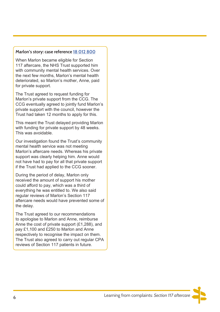#### **Marlon's story: case reference [18 012 800](https://www.lgo.org.uk/decisions/health/mental-health-services/18-012-800a)**

When Marlon became eligible for Section 117 aftercare, the NHS Trust supported him with community mental health services. Over the next few months, Marlon's mental health deteriorated, so Marlon's mother, Anne, paid for private support.

The Trust agreed to request funding for Marlon's private support from the CCG. The CCG eventually agreed to jointly fund Marlon's private support with the council, however the Trust had taken 12 months to apply for this.

This meant the Trust delayed providing Marlon with funding for private support by 48 weeks. This was avoidable.

Our investigation found the Trust's community mental health service was not meeting Marlon's aftercare needs. Whereas his private support was clearly helping him. Anne would not have had to pay for all that private support if the Trust had applied to the CCG sooner.

During the period of delay, Marlon only received the amount of support his mother could afford to pay, which was a third of everything he was entitled to. We also said regular reviews of Marlon's Section 117 aftercare needs would have prevented some of the delay.

The Trust agreed to our recommendations to apologise to Marlon and Anne, reimburse Anne the cost of private support (£1,288), and pay £1,100 and £250 to Marlon and Anne respectively to recognise the impact on them. The Trust also agreed to carry out regular CPA reviews of Section 117 patients in future.

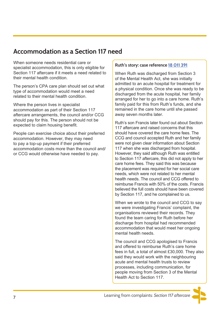## **Accommodation as a Section 117 need**

When someone needs residential care or specialist accommodation, this is only eligible for Section 117 aftercare if it meets a need related to their mental health condition.

The person's CPA care plan should set out what type of accommodation would meet a need related to their mental health condition.

Where the person lives in specialist accommodation as part of their Section 117 aftercare arrangements, the council and/or CCG should pay for this. The person should not be expected to claim housing benefit.

People can exercise choice about their preferred accommodation. However, they may need to pay a top-up payment if their preferred accommodation costs more than the council and/ or CCG would otherwise have needed to pay.

#### **Ruth's story: case reference [18 011 391](https://www.lgo.org.uk/decisions/health/mental-health-services/18-011-391a)**

When Ruth was discharged from Section 3 of the Mental Health Act, she was initially admitted to an acute hospital for treatment for a physical condition. Once she was ready to be discharged from the acute hospital, her family arranged for her to go into a care home. Ruth's family paid for this from Ruth's funds, and she remained in the care home until she passed away seven months later.

Ruth's son Francis later found out about Section 117 aftercare and raised concerns that this should have covered the care home fees. The CCG and council accepted Ruth and her family were not given clear information about Section 117 when she was discharged from hospital. However, they said although Ruth was entitled to Section 117 aftercare, this did not apply to her care home fees. They said this was because the placement was required for her social care needs, which were not related to her mental health needs. The council and CCG offered to reimburse Francis with 50% of the costs. Francis believed the full costs should have been covered by Section 117, and he complained to us.

When we wrote to the council and CCG to say we were investigating Francis' complaint, the organisations reviewed their records. They found the team caring for Ruth before her discharge from hospital had recommended accommodation that would meet her ongoing mental health needs.

The council and CCG apologised to Francis and offered to reimburse Ruth's care home fees in full, a total of almost £30,000. They also said they would work with the neighbouring acute and mental health trusts to review processes, including communication, for people moving from Section 3 of the Mental Health Act to Section 117.

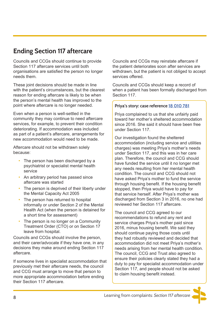## **Ending Section 117 aftercare**

Councils and CCGs should continue to provide Section 117 aftercare services until both organisations are satisfied the person no longer needs them.

These joint decisions should be made in line with the patient's circumstances, but the clearest reason for ending aftercare is likely to be when the person's mental health has improved to the point where aftercare is no longer needed.

Even when a person is well-settled in the community they may continue to need aftercare services, for example, to prevent their condition deteriorating. If accommodation was included as part of a patient's aftercare, arrangements for new accommodation would need to be made.

Aftercare should not be withdrawn solely because:

- The person has been discharged by a psychiatrist or specialist mental health service
- An arbitrary period has passed since aftercare was started
- The person is deprived of their liberty under the Mental Capacity Act 2005
- The person has returned to hospital informally or under Section 2 of the Mental Health Act (when the person is detained for a short time for assessment)
- The person is no longer on a Community Treatment Order (CTO) or on Section 17 leave from hospital.

Councils and CCGs should involve the person, and their carer/advocate if they have one, in any decisions they make around ending Section 117 aftercare.

If someone lives in specialist accommodation that previously met their aftercare needs, the council and CCG must arrange to move that person to more appropriate accommodation before ending their Section 117 aftercare.

Councils and CCGs may reinstate aftercare if the patient deteriorates soon after services are withdrawn, but the patient is not obliged to accept services offered.

Councils and CCGs should keep a record of when a patient has been formally discharged from Section 117.

#### **Priya's story: case reference [18 010 781](https://www.lgo.org.uk/decisions/health/other/18-010-781b)**

Priya complained to us that she unfairly paid toward her mother's sheltered accommodation since 2016. She said it should have been free under Section 117.

Our investigation found the sheltered accommodation (including service and utilities charges) was meeting Priya's mother's needs under Section 117, and this was in her care plan. Therefore, the council and CCG should have funded the service until it no longer met any needs resulting from her mental health condition. The council and CCG should not have asked Priya's mother to fund the service through housing benefit. If the housing benefit stopped, then Priya would have to pay for that service herself. After Priya's mother was discharged from Section 3 in 2016, no one had reviewed her Section 117 aftercare.

The council and CCG agreed to our recommendations to refund any rent and service charges Priya's mother paid since 2016, minus housing benefit. We said they should continue paying those costs until they had robustly reviewed and decided that accommodation did not meet Priya's mother's needs arising from her mental health condition. The council, CCG and Trust also agreed to ensure their policies clearly stated they had a duty to pay for specialist accommodation under Section 117, and people should not be asked to claim housing benefit instead.

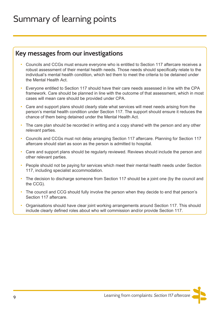## Summary of learning points

## **Key messages from our investigations**

- Councils and CCGs must ensure everyone who is entitled to Section 117 aftercare receives a robust assessment of their mental health needs. Those needs should specifically relate to the individual's mental health condition, which led them to meet the criteria to be detained under the Mental Health Act.
- Everyone entitled to Section 117 should have their care needs assessed in line with the CPA framework. Care should be planned in line with the outcome of that assessment, which in most cases will mean care should be provided under CPA.
- Care and support plans should clearly state what services will meet needs arising from the person's mental health condition under Section 117. The support should ensure it reduces the chance of them being detained under the Mental Health Act.
- The care plan should be recorded in writing and a copy shared with the person and any other relevant parties.
- Councils and CCGs must not delay arranging Section 117 aftercare. Planning for Section 117 aftercare should start as soon as the person is admitted to hospital.
- Care and support plans should be regularly reviewed. Reviews should include the person and other relevant parties.
- People should not be paying for services which meet their mental health needs under Section 117, including specialist accommodation.
- The decision to discharge someone from Section 117 should be a joint one (by the council and the CCG).
- The council and CCG should fully involve the person when they decide to end that person's Section 117 aftercare.
- Organisations should have clear joint working arrangements around Section 117. This should include clearly defined roles about who will commission and/or provide Section 117.